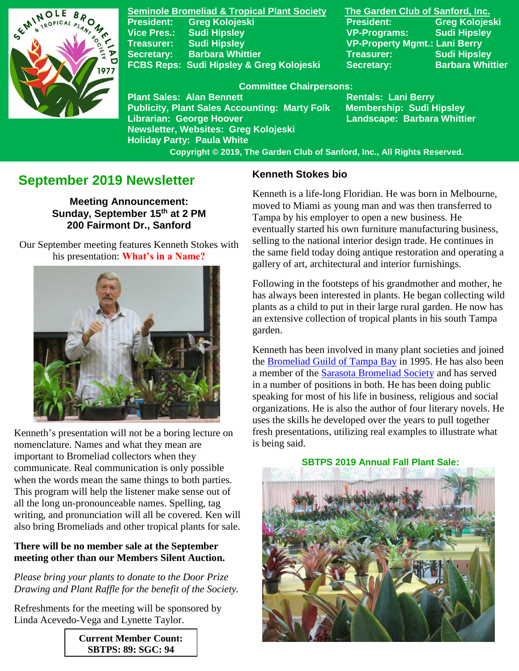

**Seminole Bromeliad & Tropical Plant Society The Garden Club of Sanford, Inc. President: Greg Kolojeski President: Greg Kolojeski Vice Pres.: Sudi Hipsley VP-Programs: Sudi Hipsley Treasurer: Sudi Hipsley VP-Property Mgmt.: Lani Berry Secretary:** Barbara Whittier **Network Treasurer:** Sudi Hipsley **FCBS Reps: Sudi Hipsley & Greg Kolojeski Secretary: Barbara Whittier** 

#### **Committee Chairpersons:**

**Plant Sales: Alan Bennett** Rentals: Lani Berry **Publicity, Plant Sales Accounting: Marty Folk Membership: Sudi Hipsley Librarian: George Hoover Landscape: Barbara Whittier Newsletter, Websites: Greg Kolojeski Holiday Party: Paula White** 

 **Copyright © 2019, The Garden Club of Sanford, Inc., All Rights Reserved.**

# **September 2019 Newsletter**

**Meeting Announcement: Sunday, September 15 th at 2 PM 200 Fairmont Dr., Sanford**

 Our September meeting features Kenneth Stokes with his presentation: **What's in a Name?**



 Kenneth's presentation will not be a boring lecture on nomenclature. Names and what they mean are important to Bromeliad collectors when they communicate. Real communication is only possible when the words mean the same things to both parties. This program will help the listener make sense out of all the long un-pronounceable names. Spelling, tag writing, and pronunciation will all be covered. Ken will also bring Bromeliads and other tropical plants for sale.

### **There will be no member sale at the September meeting other than our Members Silent Auction.**

*Please bring your plants to donate to the Door Prize Drawing and Plant Raffle for the benefit of the Society.*

Refreshments for the meeting will be sponsored by Linda Acevedo-Vega and Lynette Taylor.

> **Current Member Count: SBTPS: 89; SGC: 94**

#### **Kenneth Stokes bio**

Kenneth is a life-long Floridian. He was born in Melbourne, moved to Miami as young man and was then transferred to Tampa by his employer to open a new business. He eventually started his own furniture manufacturing business, selling to the national interior design trade. He continues in the same field today doing antique restoration and operating a gallery of art, architectural and interior furnishings.

Following in the footsteps of his grandmother and mother, he has always been interested in plants. He began collecting wild plants as a child to put in their large rural garden. He now has an extensive collection of tropical plants in his south Tampa garden.

Kenneth has been involved in many plant societies and joined the [Bromeliad Guild of Tampa Bay](http://www.bromeliadguildoftampabay.org/) in 1995. He has also been a member of the [Sarasota Bromeliad Society](https://sarasotabromeliadsociety.org/) and has served in a number of positions in both. He has been doing public speaking for most of his life in business, religious and social organizations. He is also the author of four literary novels. He uses the skills he developed over the years to pull together fresh presentations, utilizing real examples to illustrate what is being said.

 **SBTPS 2019 Annual Fall Plant Sale:**